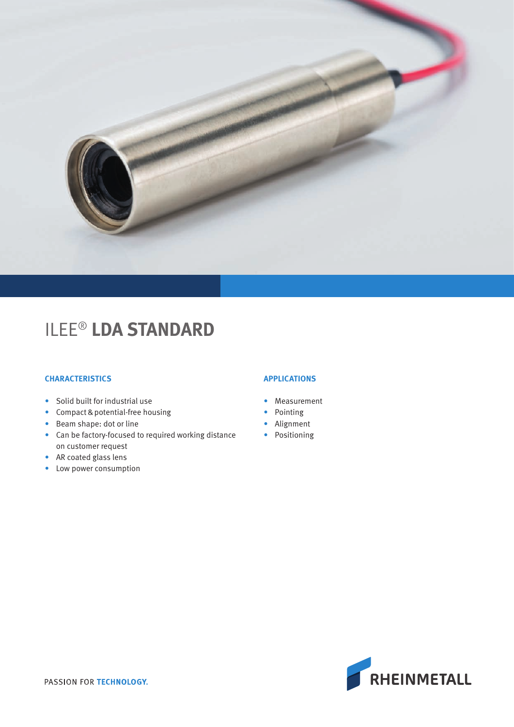

# ILEE® **LDA STANDARD**

## **CHARACTERISTICS**

- Solid built for industrial use
- Compact & potential-free housing
- Beam shape: dot or line
- Can be factory-focused to required working distance on customer request
- AR coated glass lens
- Low power consumption

## **APPLICATIONS**

- Measurement
- Pointing
- Alignment
- Positioning